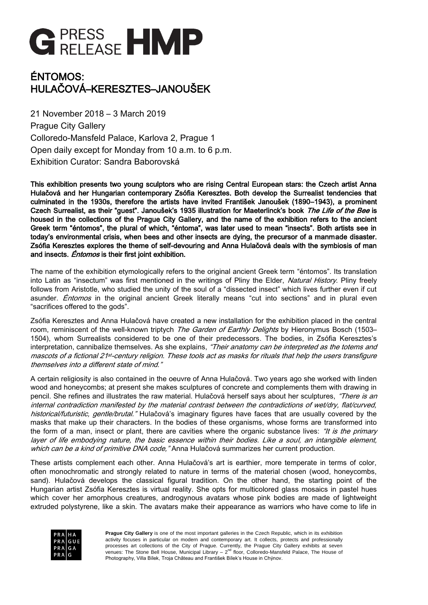

# ÉNTOMOS: HULAČOVÁ–KERESZTES–JANOUŠEK

21 November 2018 – 3 March 2019 Prague City Gallery Colloredo-Mansfeld Palace, Karlova 2, Prague 1 Open daily except for Monday from 10 a.m. to 6 p.m. Exhibition Curator: Sandra Baborovská

This exhibition presents two young sculptors who are rising Central European stars: the Czech artist Anna Hulačová and her Hungarian contemporary Zsófia Keresztes. Both develop the Surrealist tendencies that culminated in the 1930s, therefore the artists have invited František Janoušek (1890–1943), a prominent Czech Surrealist, as their "guest". Janoušek's 1935 illustration for Maeterlinck's book The Life of the Bee is housed in the collections of the Prague City Gallery, and the name of the exhibition refers to the ancient Greek term "éntomos", the plural of which, "éntoma", was later used to mean "insects". Both artists see in today's environmental crisis, when bees and other insects are dying, the precursor of a manmade disaster. Zsófia Keresztes explores the theme of self-devouring and Anna Hulačová deals with the symbiosis of man and insects. *Éntomos* is their first joint exhibition.

The name of the exhibition etymologically refers to the original ancient Greek term "éntomos". Its translation into Latin as "insectum" was first mentioned in the writings of Pliny the Elder, Natural History. Pliny freely follows from Aristotle, who studied the unity of the soul of a "dissected insect" which lives further even if cut asunder. *Éntomos* in the original ancient Greek literally means "cut into sections" and in plural even "sacrifices offered to the gods".

Zsófia Keresztes and Anna Hulačová have created a new installation for the exhibition placed in the central room, reminiscent of the well-known triptych The Garden of Earthly Delights by Hieronymus Bosch (1503– 1504), whom Surrealists considered to be one of their predecessors. The bodies, in Zsófia Keresztes's interpretation, cannibalize themselves. As she explains, "Their anatomy can be interpreted as the totems and mascots of a fictional 21st-century religion. These tools act as masks for rituals that help the users transfigure themselves into a different state of mind."

A certain religiosity is also contained in the oeuvre of Anna Hulačová. Two years ago she worked with linden wood and honeycombs; at present she makes sculptures of concrete and complements them with drawing in pencil. She refines and illustrates the raw material. Hulačová herself says about her sculptures, "There is an internal contradiction manifested by the material contrast between the contradictions of wet/dry, flat/curved, historical/futuristic, gentle/brutal." Hulačová's imaginary figures have faces that are usually covered by the masks that make up their characters. In the bodies of these organisms, whose forms are transformed into the form of a man, insect or plant, there are cavities where the organic substance lives: "It is the primary layer of life embodying nature, the basic essence within their bodies. Like a soul, an intangible element, which can be a kind of primitive DNA code," Anna Hulačová summarizes her current production.

These artists complement each other. Anna Hulačová's art is earthier, more temperate in terms of color, often monochromatic and strongly related to nature in terms of the material chosen (wood, honeycombs, sand). Hulačová develops the classical figural tradition. On the other hand, the starting point of the Hungarian artist Zsófia Keresztes is virtual reality. She opts for multicolored glass mosaics in pastel hues which cover her amorphous creatures, androgynous avatars whose pink bodies are made of lightweight extruded polystyrene, like a skin. The avatars make their appearance as warriors who have come to life in



**Prague City Gallery** is one of the most important galleries in the Czech Republic, which in its exhibition activity focuses in particular on modern and contemporary art. It collects, protects and professionally processes art collections of the City of Prague. Currently, the Prague City Gallery exhibits at seven venues: The Stone Bell House, Municipal Library – 2<sup>nd</sup> floor, Colloredo-Mansfeld Palace, The House of Photography, Villa Bílek, Troja Château and František Bílek's House in Chýnov.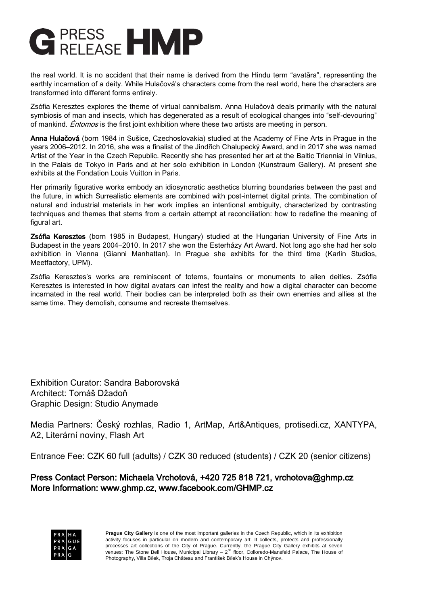

the real world. It is no accident that their name is derived from the Hindu term "avatāra", representing the earthly incarnation of a deity. While Hulačová's characters come from the real world, here the characters are transformed into different forms entirely.

Zsófia Keresztes explores the theme of virtual cannibalism. Anna Hulačová deals primarily with the natural symbiosis of man and insects, which has degenerated as a result of ecological changes into "self-devouring" of mankind. *Éntomos* is the first joint exhibition where these two artists are meeting in person.

Anna Hulačová (born 1984 in Sušice, Czechoslovakia) studied at the Academy of Fine Arts in Prague in the years 2006–2012. In 2016, she was a finalist of the Jindřich Chalupecký Award, and in 2017 she was named Artist of the Year in the Czech Republic. Recently she has presented her art at the Baltic Triennial in Vilnius, in the Palais de Tokyo in Paris and at her solo exhibition in London (Kunstraum Gallery). At present she exhibits at the Fondation Louis Vuitton in Paris.

Her primarily figurative works embody an idiosyncratic aesthetics blurring boundaries between the past and the future, in which Surrealistic elements are combined with post-internet digital prints. The combination of natural and industrial materials in her work implies an intentional ambiguity, characterized by contrasting techniques and themes that stems from a certain attempt at reconciliation: how to redefine the meaning of figural art.

Zsófia Keresztes (born 1985 in Budapest, Hungary) studied at the Hungarian University of Fine Arts in Budapest in the years 2004–2010. In 2017 she won the Esterházy Art Award. Not long ago she had her solo exhibition in Vienna (Gianni Manhattan). In Prague she exhibits for the third time (Karlin Studios, Meetfactory, UPM).

Zsófia Keresztes's works are reminiscent of totems, fountains or monuments to alien deities. Zsófia Keresztes is interested in how digital avatars can infest the reality and how a digital character can become incarnated in the real world. Their bodies can be interpreted both as their own enemies and allies at the same time. They demolish, consume and recreate themselves.

Exhibition Curator: Sandra Baborovská Architect: Tomáš Džadoň Graphic Design: Studio Anymade

Media Partners: Český rozhlas, Radio 1, ArtMap, Art&Antiques, protisedi.cz, XANTYPA, A2, Literární noviny, Flash Art

Entrance Fee: CZK 60 full (adults) / CZK 30 reduced (students) / CZK 20 (senior citizens)

## Press Contact Person: Michaela Vrchotová, +420 725 818 721, vrchotova@ghmp.cz More Information: www.ghmp.cz, www.facebook.com/GHMP.cz



**Prague City Gallery** is one of the most important galleries in the Czech Republic, which in its exhibition activity focuses in particular on modern and contemporary art. It collects, protects and professionally processes art collections of the City of Prague. Currently, the Prague City Gallery exhibits at seven venues: The Stone Bell House, Municipal Library – 2<sup>nd</sup> floor, Colloredo-Mansfeld Palace, The House of Photography, Villa Bílek, Troja Château and František Bílek's House in Chýnov.